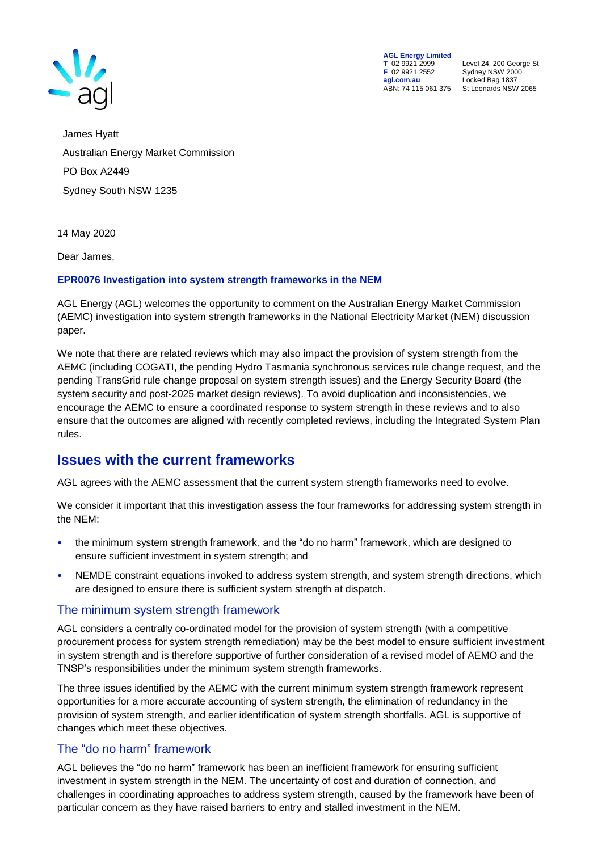

**AGL Energy Limited**<br> **T** 02 9921 2999<br> **F** 02 9921 2552 **F** 02 9921 2552 Sydney NSW 2000 **agl.com.au** Locked Bag 1837<br>ABN: 74 115 061 375 St Leonards NSW

**T** 02 9921 2999 Level 24, 200 George St St Leonards NSW 2065

James Hyatt Australian Energy Market Commission PO Box A2449 Sydney South NSW 1235

14 May 2020

Dear James,

#### **EPR0076 Investigation into system strength frameworks in the NEM**

AGL Energy (AGL) welcomes the opportunity to comment on the Australian Energy Market Commission (AEMC) investigation into system strength frameworks in the National Electricity Market (NEM) discussion paper.

We note that there are related reviews which may also impact the provision of system strength from the AEMC (including COGATI, the pending Hydro Tasmania synchronous services rule change request, and the pending TransGrid rule change proposal on system strength issues) and the Energy Security Board (the system security and post-2025 market design reviews). To avoid duplication and inconsistencies, we encourage the AEMC to ensure a coordinated response to system strength in these reviews and to also ensure that the outcomes are aligned with recently completed reviews, including the Integrated System Plan rules.

## **Issues with the current frameworks**

AGL agrees with the AEMC assessment that the current system strength frameworks need to evolve.

We consider it important that this investigation assess the four frameworks for addressing system strength in the NEM:

- the minimum system strength framework, and the "do no harm" framework, which are designed to ensure sufficient investment in system strength; and
- NEMDE constraint equations invoked to address system strength, and system strength directions, which are designed to ensure there is sufficient system strength at dispatch.

### The minimum system strength framework

AGL considers a centrally co-ordinated model for the provision of system strength (with a competitive procurement process for system strength remediation) may be the best model to ensure sufficient investment in system strength and is therefore supportive of further consideration of a revised model of AEMO and the TNSP's responsibilities under the minimum system strength frameworks.

The three issues identified by the AEMC with the current minimum system strength framework represent opportunities for a more accurate accounting of system strength, the elimination of redundancy in the provision of system strength, and earlier identification of system strength shortfalls. AGL is supportive of changes which meet these objectives.

## The "do no harm" framework

AGL believes the "do no harm" framework has been an inefficient framework for ensuring sufficient investment in system strength in the NEM. The uncertainty of cost and duration of connection, and challenges in coordinating approaches to address system strength, caused by the framework have been of particular concern as they have raised barriers to entry and stalled investment in the NEM.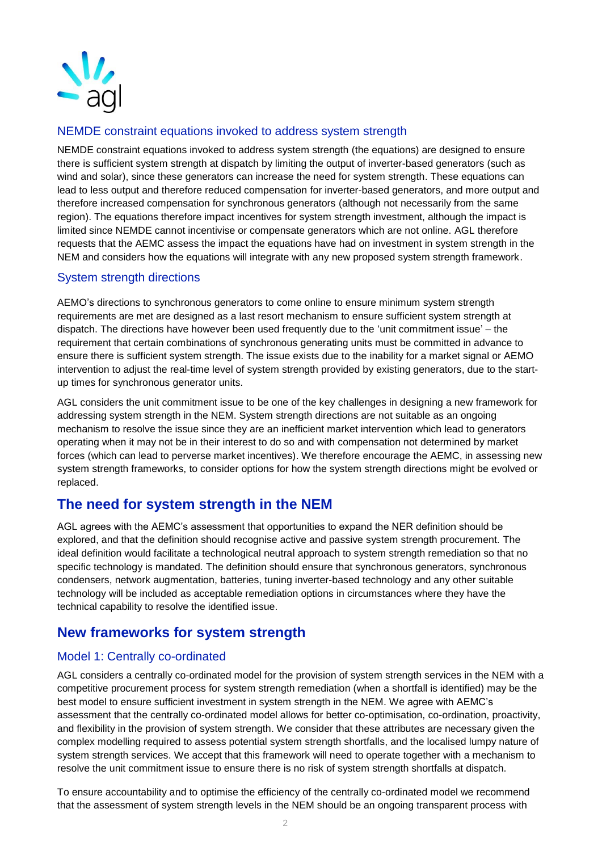

## NEMDE constraint equations invoked to address system strength

NEMDE constraint equations invoked to address system strength (the equations) are designed to ensure there is sufficient system strength at dispatch by limiting the output of inverter-based generators (such as wind and solar), since these generators can increase the need for system strength. These equations can lead to less output and therefore reduced compensation for inverter-based generators, and more output and therefore increased compensation for synchronous generators (although not necessarily from the same region). The equations therefore impact incentives for system strength investment, although the impact is limited since NEMDE cannot incentivise or compensate generators which are not online. AGL therefore requests that the AEMC assess the impact the equations have had on investment in system strength in the NEM and considers how the equations will integrate with any new proposed system strength framework.

## System strength directions

AEMO's directions to synchronous generators to come online to ensure minimum system strength requirements are met are designed as a last resort mechanism to ensure sufficient system strength at dispatch. The directions have however been used frequently due to the 'unit commitment issue' – the requirement that certain combinations of synchronous generating units must be committed in advance to ensure there is sufficient system strength. The issue exists due to the inability for a market signal or AEMO intervention to adjust the real-time level of system strength provided by existing generators, due to the startup times for synchronous generator units.

AGL considers the unit commitment issue to be one of the key challenges in designing a new framework for addressing system strength in the NEM. System strength directions are not suitable as an ongoing mechanism to resolve the issue since they are an inefficient market intervention which lead to generators operating when it may not be in their interest to do so and with compensation not determined by market forces (which can lead to perverse market incentives). We therefore encourage the AEMC, in assessing new system strength frameworks, to consider options for how the system strength directions might be evolved or replaced.

# **The need for system strength in the NEM**

AGL agrees with the AEMC's assessment that opportunities to expand the NER definition should be explored, and that the definition should recognise active and passive system strength procurement. The ideal definition would facilitate a technological neutral approach to system strength remediation so that no specific technology is mandated. The definition should ensure that synchronous generators, synchronous condensers, network augmentation, batteries, tuning inverter-based technology and any other suitable technology will be included as acceptable remediation options in circumstances where they have the technical capability to resolve the identified issue.

# **New frameworks for system strength**

## Model 1: Centrally co-ordinated

AGL considers a centrally co-ordinated model for the provision of system strength services in the NEM with a competitive procurement process for system strength remediation (when a shortfall is identified) may be the best model to ensure sufficient investment in system strength in the NEM. We agree with AEMC's assessment that the centrally co-ordinated model allows for better co-optimisation, co-ordination, proactivity, and flexibility in the provision of system strength. We consider that these attributes are necessary given the complex modelling required to assess potential system strength shortfalls, and the localised lumpy nature of system strength services. We accept that this framework will need to operate together with a mechanism to resolve the unit commitment issue to ensure there is no risk of system strength shortfalls at dispatch.

To ensure accountability and to optimise the efficiency of the centrally co-ordinated model we recommend that the assessment of system strength levels in the NEM should be an ongoing transparent process with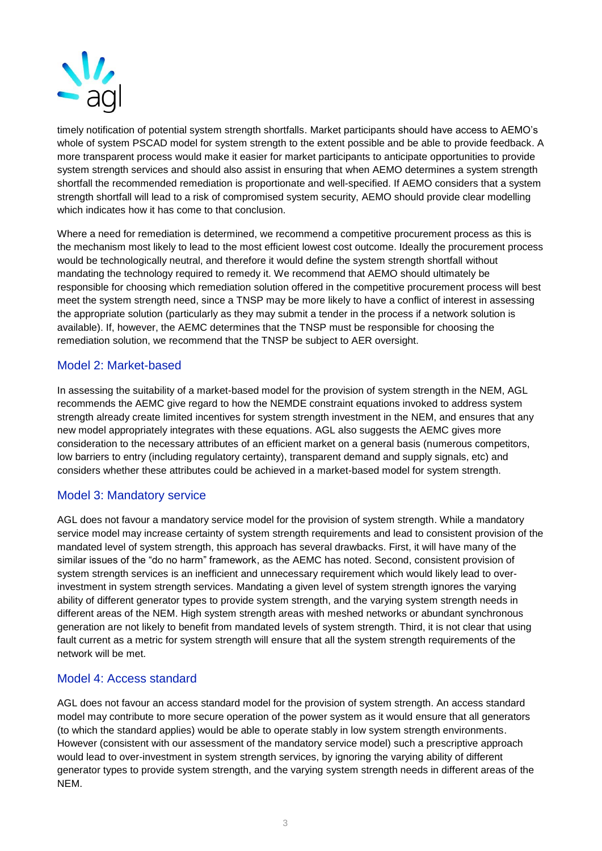

timely notification of potential system strength shortfalls. Market participants should have access to AEMO's whole of system PSCAD model for system strength to the extent possible and be able to provide feedback. A more transparent process would make it easier for market participants to anticipate opportunities to provide system strength services and should also assist in ensuring that when AEMO determines a system strength shortfall the recommended remediation is proportionate and well-specified. If AEMO considers that a system strength shortfall will lead to a risk of compromised system security, AEMO should provide clear modelling which indicates how it has come to that conclusion.

Where a need for remediation is determined, we recommend a competitive procurement process as this is the mechanism most likely to lead to the most efficient lowest cost outcome. Ideally the procurement process would be technologically neutral, and therefore it would define the system strength shortfall without mandating the technology required to remedy it. We recommend that AEMO should ultimately be responsible for choosing which remediation solution offered in the competitive procurement process will best meet the system strength need, since a TNSP may be more likely to have a conflict of interest in assessing the appropriate solution (particularly as they may submit a tender in the process if a network solution is available). If, however, the AEMC determines that the TNSP must be responsible for choosing the remediation solution, we recommend that the TNSP be subject to AER oversight.

## Model 2: Market-based

In assessing the suitability of a market-based model for the provision of system strength in the NEM, AGL recommends the AEMC give regard to how the NEMDE constraint equations invoked to address system strength already create limited incentives for system strength investment in the NEM, and ensures that any new model appropriately integrates with these equations. AGL also suggests the AEMC gives more consideration to the necessary attributes of an efficient market on a general basis (numerous competitors, low barriers to entry (including regulatory certainty), transparent demand and supply signals, etc) and considers whether these attributes could be achieved in a market-based model for system strength.

## Model 3: Mandatory service

AGL does not favour a mandatory service model for the provision of system strength. While a mandatory service model may increase certainty of system strength requirements and lead to consistent provision of the mandated level of system strength, this approach has several drawbacks. First, it will have many of the similar issues of the "do no harm" framework, as the AEMC has noted. Second, consistent provision of system strength services is an inefficient and unnecessary requirement which would likely lead to overinvestment in system strength services. Mandating a given level of system strength ignores the varying ability of different generator types to provide system strength, and the varying system strength needs in different areas of the NEM. High system strength areas with meshed networks or abundant synchronous generation are not likely to benefit from mandated levels of system strength. Third, it is not clear that using fault current as a metric for system strength will ensure that all the system strength requirements of the network will be met.

### Model 4: Access standard

AGL does not favour an access standard model for the provision of system strength. An access standard model may contribute to more secure operation of the power system as it would ensure that all generators (to which the standard applies) would be able to operate stably in low system strength environments. However (consistent with our assessment of the mandatory service model) such a prescriptive approach would lead to over-investment in system strength services, by ignoring the varying ability of different generator types to provide system strength, and the varying system strength needs in different areas of the NEM.